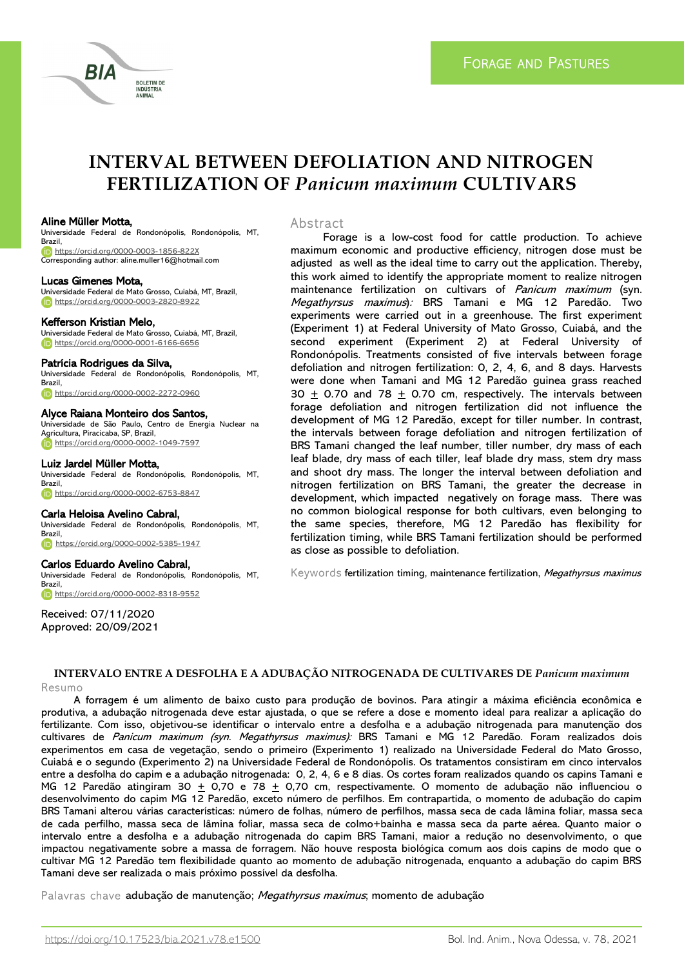

# **INTERVAL BETWEEN DEFOLIATION AND NITROGEN FERTILIZATION OF** *Panicum maximum* **CULTIVARS**

### Aline Müller Motta,

Universidade Federal de Rondonópolis, Rondonópolis, MT, Brazil, <https://orcid.org/0000-0003-1856-822X> Corresponding author: aline.muller16@hotmail.com

# Lucas Gimenes Mota,

Universidade Federal de Mato Grosso, Cuiabá, MT, Brazil, <https://orcid.org/0000-0003-2820-8922>

### Kefferson Kristian Melo,

Universidade Federal de Mato Grosso, Cuiabá, MT, Brazil, <https://orcid.org/0000-0001-6166-6656>

#### Patrícia Rodrigues da Silva,

Universidade Federal de Rondonópolis, Rondonópolis, MT, Brazil, <https://orcid.org/0000-0002-2272-0960>

### Alyce Raiana Monteiro dos Santos,

Universidade de São Paulo, Centro de Energia Nuclear na Agricultura, Piracicaba, SP, Brazil, <https://orcid.org/0000-0002-1049-7597>

### Luiz Jardel Müller Motta,

Universidade Federal de Rondonópolis, Rondonópolis, MT, **Brazil** <https://orcid.org/0000-0002-6753-8847>

### Carla Heloisa Avelino Cabral,

Universidade Federal de Rondonópolis, Rondonópolis, MT, Brazil, <https://orcid.org/0000-0002-5385-1947>

### Carlos Eduardo Avelino Cabral,

Universidade Federal de Rondonópolis, Rondonópolis, MT, Brazil, <https://orcid.org/0000-0002-8318-9552>

Received: 07/11/2020 Approved: 20/09/2021

### Abstract

Forage is a low-cost food for cattle production. To achieve maximum economic and productive efficiency, nitrogen dose must be adjusted as well as the ideal time to carry out the application. Thereby, this work aimed to identify the appropriate moment to realize nitrogen maintenance fertilization on cultivars of Panicum maximum (syn. Megathyrsus maximus): BRS Tamani e MG 12 Paredão. Two experiments were carried out in a greenhouse. The first experiment (Experiment 1) at Federal University of Mato Grosso, Cuiabá, and the second experiment (Experiment 2) at Federal University of Rondonópolis. Treatments consisted of five intervals between forage defoliation and nitrogen fertilization: 0, 2, 4, 6, and 8 days. Harvests were done when Tamani and MG 12 Paredão guinea grass reached 30  $\pm$  0.70 and 78  $\pm$  0.70 cm, respectively. The intervals between forage defoliation and nitrogen fertilization did not influence the development of MG 12 Paredão, except for tiller number. In contrast, the intervals between forage defoliation and nitrogen fertilization of BRS Tamani changed the leaf number, tiller number, dry mass of each leaf blade, dry mass of each tiller, leaf blade dry mass, stem dry mass and shoot dry mass. The longer the interval between defoliation and nitrogen fertilization on BRS Tamani, the greater the decrease in development, which impacted negatively on forage mass. There was no common biological response for both cultivars, even belonging to the same species, therefore, MG 12 Paredão has flexibility for fertilization timing, while BRS Tamani fertilization should be performed as close as possible to defoliation.

Keywords fertilization timing, maintenance fertilization, Megathyrsus maximus

### **INTERVALO ENTRE A DESFOLHA E A ADUBAÇÃO NITROGENADA DE CULTIVARES DE** *Panicum maximum* Resumo

A forragem é um alimento de baixo custo para produção de bovinos. Para atingir a máxima eficiência econômica e produtiva, a adubação nitrogenada deve estar ajustada, o que se refere a dose e momento ideal para realizar a aplicação do fertilizante. Com isso, objetivou-se identificar o intervalo entre a desfolha e a adubação nitrogenada para manutenção dos cultivares de Panicum maximum (syn. Megathyrsus maximus): BRS Tamani e MG 12 Paredão. Foram realizados dois experimentos em casa de vegetação, sendo o primeiro (Experimento 1) realizado na Universidade Federal do Mato Grosso, Cuiabá e o segundo (Experimento 2) na Universidade Federal de Rondonópolis. Os tratamentos consistiram em cinco intervalos entre a desfolha do capim e a adubação nitrogenada: 0, 2, 4, 6 e 8 dias. Os cortes foram realizados quando os capins Tamani e MG 12 Paredão atingiram 30 + 0,70 e 78 + 0,70 cm, respectivamente. O momento de adubação não influenciou o desenvolvimento do capim MG 12 Paredão, exceto número de perfilhos. Em contrapartida, o momento de adubação do capim BRS Tamani alterou várias características: número de folhas, número de perfilhos, massa seca de cada lâmina foliar, massa seca de cada perfilho, massa seca de lâmina foliar, massa seca de colmo+bainha e massa seca da parte aérea. Quanto maior o intervalo entre a desfolha e a adubação nitrogenada do capim BRS Tamani, maior a redução no desenvolvimento, o que impactou negativamente sobre a massa de forragem. Não houve resposta biológica comum aos dois capins de modo que o cultivar MG 12 Paredão tem flexibilidade quanto ao momento de adubação nitrogenada, enquanto a adubação do capim BRS Tamani deve ser realizada o mais próximo possível da desfolha.

Palavras chave adubação de manutenção; Megathyrsus maximus; momento de adubação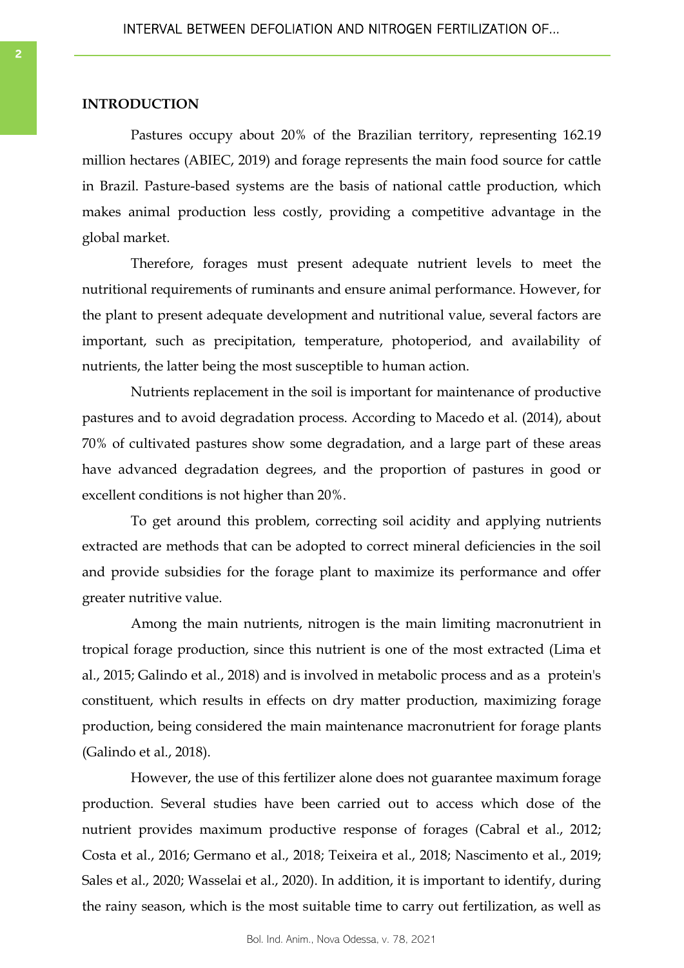### **INTRODUCTION**

Pastures occupy about 20% of the Brazilian territory, representing 162.19 million hectares (ABIEC, 2019) and forage represents the main food source for cattle in Brazil. Pasture-based systems are the basis of national cattle production, which makes animal production less costly, providing a competitive advantage in the global market.

Therefore, forages must present adequate nutrient levels to meet the nutritional requirements of ruminants and ensure animal performance. However, for the plant to present adequate development and nutritional value, several factors are important, such as precipitation, temperature, photoperiod, and availability of nutrients, the latter being the most susceptible to human action.

Nutrients replacement in the soil is important for maintenance of productive pastures and to avoid degradation process. According to Macedo et al. (2014), about 70% of cultivated pastures show some degradation, and a large part of these areas have advanced degradation degrees, and the proportion of pastures in good or excellent conditions is not higher than 20%.

To get around this problem, correcting soil acidity and applying nutrients extracted are methods that can be adopted to correct mineral deficiencies in the soil and provide subsidies for the forage plant to maximize its performance and offer greater nutritive value.

Among the main nutrients, nitrogen is the main limiting macronutrient in tropical forage production, since this nutrient is one of the most extracted (Lima et al., 2015; Galindo et al., 2018) and is involved in metabolic process and as a protein's constituent, which results in effects on dry matter production, maximizing forage production, being considered the main maintenance macronutrient for forage plants (Galindo et al., 2018).

However, the use of this fertilizer alone does not guarantee maximum forage production. Several studies have been carried out to access which dose of the nutrient provides maximum productive response of forages (Cabral et al., 2012; Costa et al., 2016; Germano et al., 2018; Teixeira et al., 2018; Nascimento et al., 2019; Sales et al., 2020; Wasselai et al., 2020). In addition, it is important to identify, during the rainy season, which is the most suitable time to carry out fertilization, as well as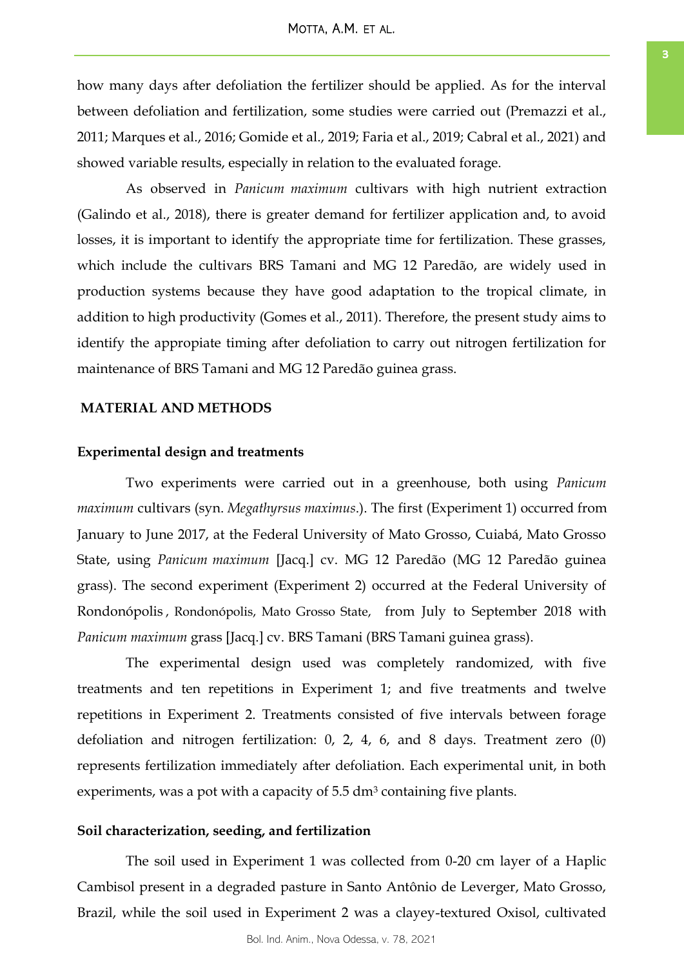how many days after defoliation the fertilizer should be applied. As for the interval between defoliation and fertilization, some studies were carried out (Premazzi et al., 2011; Marques et al., 2016; Gomide et al., 2019; Faria et al., 2019; Cabral et al., 2021) and showed variable results, especially in relation to the evaluated forage.

As observed in *Panicum maximum* cultivars with high nutrient extraction (Galindo et al., 2018), there is greater demand for fertilizer application and, to avoid losses, it is important to identify the appropriate time for fertilization. These grasses, which include the cultivars BRS Tamani and MG 12 Paredão, are widely used in production systems because they have good adaptation to the tropical climate, in addition to high productivity (Gomes et al., 2011). Therefore, the present study aims to identify the appropiate timing after defoliation to carry out nitrogen fertilization for maintenance of BRS Tamani and MG 12 Paredão guinea grass.

# **MATERIAL AND METHODS**

# **Experimental design and treatments**

Two experiments were carried out in a greenhouse, both using *Panicum maximum* cultivars (syn. *Megathyrsus maximus*.). The first (Experiment 1) occurred from January to June 2017, at the Federal University of Mato Grosso, Cuiabá, Mato Grosso State, using *Panicum maximum* [Jacq.] cv. MG 12 Paredão (MG 12 Paredão guinea grass). The second experiment (Experiment 2) occurred at the Federal University of Rondonópolis , Rondonópolis, Mato Grosso State, from July to September 2018 with *Panicum maximum* grass [Jacq.] cv. BRS Tamani (BRS Tamani guinea grass).

The experimental design used was completely randomized, with five treatments and ten repetitions in Experiment 1; and five treatments and twelve repetitions in Experiment 2. Treatments consisted of five intervals between forage defoliation and nitrogen fertilization: 0, 2, 4, 6, and 8 days. Treatment zero (0) represents fertilization immediately after defoliation. Each experimental unit, in both experiments, was a pot with a capacity of 5.5 dm<sup>3</sup> containing five plants.

# **Soil characterization, seeding, and fertilization**

The soil used in Experiment 1 was collected from 0-20 cm layer of a Haplic Cambisol present in a degraded pasture in Santo Antônio de Leverger, Mato Grosso, Brazil, while the soil used in Experiment 2 was a clayey-textured Oxisol, cultivated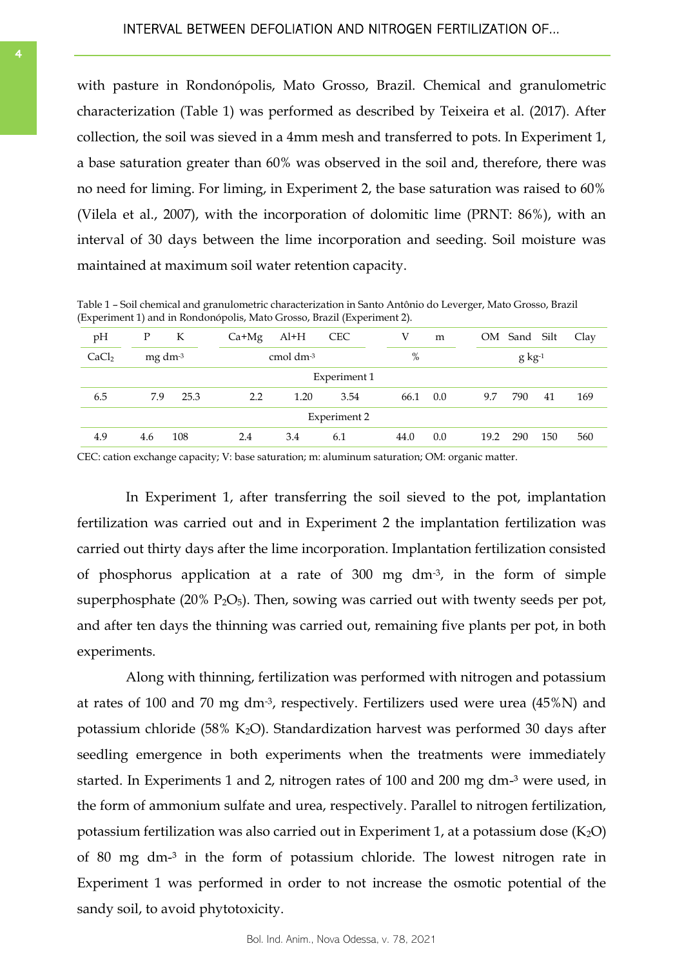with pasture in Rondonópolis, Mato Grosso, Brazil. Chemical and granulometric characterization (Table 1) was performed as described by Teixeira et al. (2017). After collection, the soil was sieved in a 4mm mesh and transferred to pots. In Experiment 1, a base saturation greater than 60% was observed in the soil and, therefore, there was no need for liming. For liming, in Experiment 2, the base saturation was raised to 60% (Vilela et al., 2007), with the incorporation of dolomitic lime (PRNT: 86%), with an interval of 30 days between the lime incorporation and seeding. Soil moisture was maintained at maximum soil water retention capacity.

Table 1 – Soil chemical and granulometric characterization in Santo Antônio do Leverger, Mato Grosso, Brazil (Experiment 1) and in Rondonópolis, Mato Grosso, Brazil (Experiment 2).

| pH                  | P                   | К    | $Ca+Mg$        | $Al+H$ | <b>CEC</b> | V    | m   |      | OM Sand Silt |     | Clav |
|---------------------|---------------------|------|----------------|--------|------------|------|-----|------|--------------|-----|------|
| CaCl <sub>2</sub>   | mg dm <sup>-3</sup> |      | cmol $dm^{-3}$ |        |            | %    |     |      | $g kg-1$     |     |      |
| Experiment 1        |                     |      |                |        |            |      |     |      |              |     |      |
| 6.5                 | 7.9                 | 25.3 | 2.2            | 1.20   | 3.54       | 66.1 | 0.0 | 9.7  | 790          | 41  | 169  |
| <b>Experiment 2</b> |                     |      |                |        |            |      |     |      |              |     |      |
| 4.9                 | 4.6                 | 108  | 2.4            | 3.4    | 6.1        | 44.0 | 0.0 | 19.2 | 290          | 150 | 560  |

CEC: cation exchange capacity; V: base saturation; m: aluminum saturation; OM: organic matter.

In Experiment 1, after transferring the soil sieved to the pot, implantation fertilization was carried out and in Experiment 2 the implantation fertilization was carried out thirty days after the lime incorporation. Implantation fertilization consisted of phosphorus application at a rate of 300 mg dm-3, in the form of simple superphosphate  $(20\% \text{ P}_2\text{O}_5)$ . Then, sowing was carried out with twenty seeds per pot, and after ten days the thinning was carried out, remaining five plants per pot, in both experiments.

Along with thinning, fertilization was performed with nitrogen and potassium at rates of 100 and 70 mg dm<sup>-3</sup>, respectively. Fertilizers used were urea  $(45\%)$  and potassium chloride (58% K<sub>2</sub>O). Standardization harvest was performed 30 days after seedling emergence in both experiments when the treatments were immediately started. In Experiments 1 and 2, nitrogen rates of 100 and 200 mg dm-<sup>3</sup> were used, in the form of ammonium sulfate and urea, respectively. Parallel to nitrogen fertilization, potassium fertilization was also carried out in Experiment 1, at a potassium dose  $(K_2O)$ of 80 mg dm-³ in the form of potassium chloride. The lowest nitrogen rate in Experiment 1 was performed in order to not increase the osmotic potential of the sandy soil, to avoid phytotoxicity.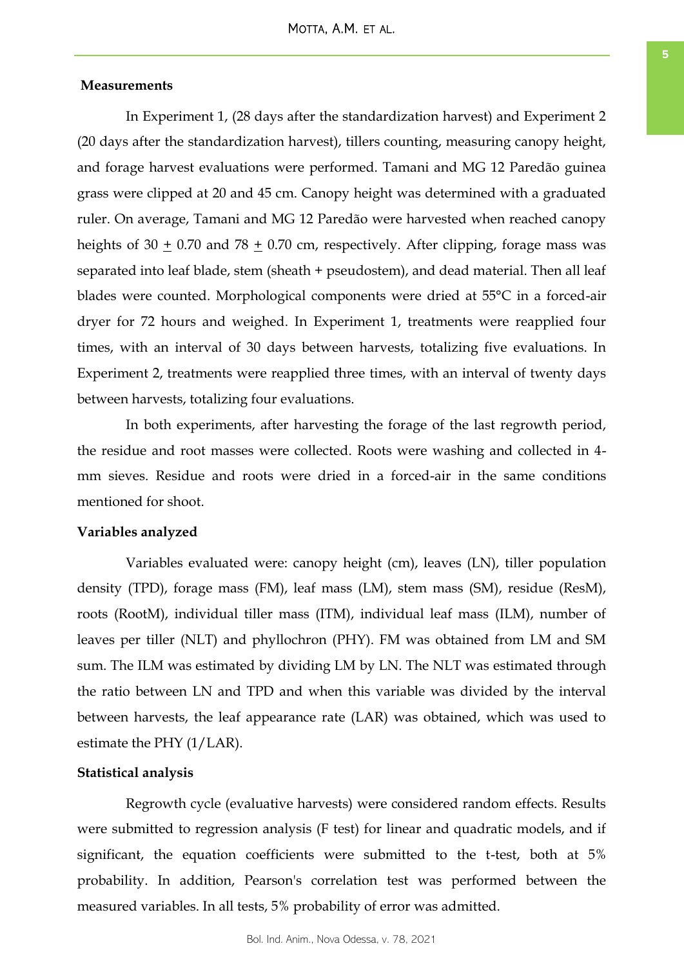# **Measurements**

In Experiment 1, (28 days after the standardization harvest) and Experiment 2 (20 days after the standardization harvest), tillers counting, measuring canopy height, and forage harvest evaluations were performed. Tamani and MG 12 Paredão guinea grass were clipped at 20 and 45 cm. Canopy height was determined with a graduated ruler. On average, Tamani and MG 12 Paredão were harvested when reached canopy heights of  $30 + 0.70$  and  $78 + 0.70$  cm, respectively. After clipping, forage mass was separated into leaf blade, stem (sheath + pseudostem), and dead material. Then all leaf blades were counted. Morphological components were dried at 55°C in a forced-air dryer for 72 hours and weighed. In Experiment 1, treatments were reapplied four times, with an interval of 30 days between harvests, totalizing five evaluations. In Experiment 2, treatments were reapplied three times, with an interval of twenty days between harvests, totalizing four evaluations.

In both experiments, after harvesting the forage of the last regrowth period, the residue and root masses were collected. Roots were washing and collected in 4 mm sieves. Residue and roots were dried in a forced-air in the same conditions mentioned for shoot.

### **Variables analyzed**

Variables evaluated were: canopy height (cm), leaves (LN), tiller population density (TPD), forage mass (FM), leaf mass (LM), stem mass (SM), residue (ResM), roots (RootM), individual tiller mass (ITM), individual leaf mass (ILM), number of leaves per tiller (NLT) and phyllochron (PHY). FM was obtained from LM and SM sum. The ILM was estimated by dividing LM by LN. The NLT was estimated through the ratio between LN and TPD and when this variable was divided by the interval between harvests, the leaf appearance rate (LAR) was obtained, which was used to estimate the PHY (1/LAR).

# **Statistical analysis**

Regrowth cycle (evaluative harvests) were considered random effects. Results were submitted to regression analysis (F test) for linear and quadratic models, and if significant, the equation coefficients were submitted to the t-test, both at 5% probability. In addition, Pearson's correlation test was performed between the measured variables. In all tests, 5% probability of error was admitted.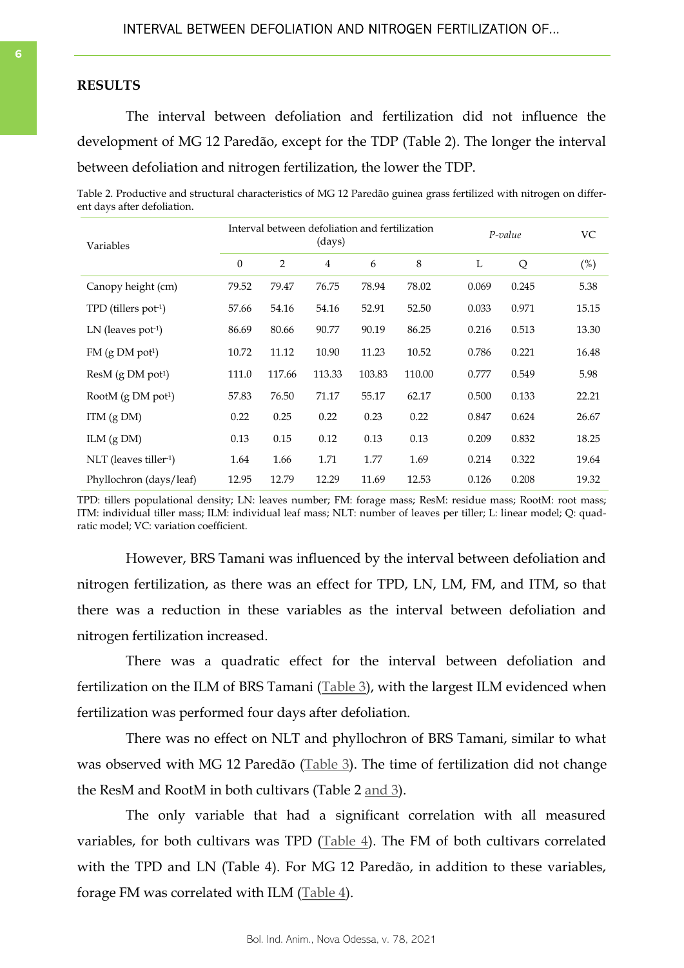### **RESULTS**

The interval between defoliation and fertilization did not influence the development of MG 12 Paredão, except for the TDP (Table 2). The longer the interval between defoliation and nitrogen fertilization, the lower the TDP.

Table 2. Productive and structural characteristics of MG 12 Paredão guinea grass fertilized with nitrogen on different days after defoliation.

| Variables                        | Interval between defoliation and fertilization<br>(days) |        |                |        |         |       | P-value |       |
|----------------------------------|----------------------------------------------------------|--------|----------------|--------|---------|-------|---------|-------|
|                                  | $\theta$                                                 | 2      | $\overline{4}$ | 6      | $\,8\,$ | L     | Q       | (%)   |
| Canopy height (cm)               | 79.52                                                    | 79.47  | 76.75          | 78.94  | 78.02   | 0.069 | 0.245   | 5.38  |
| TPD (tillers pot-1)              | 57.66                                                    | 54.16  | 54.16          | 52.91  | 52.50   | 0.033 | 0.971   | 15.15 |
| LN (leaves pot <sup>-1</sup> )   | 86.69                                                    | 80.66  | 90.77          | 90.19  | 86.25   | 0.216 | 0.513   | 13.30 |
| $FM$ (g DM pot <sup>1</sup> )    | 10.72                                                    | 11.12  | 10.90          | 11.23  | 10.52   | 0.786 | 0.221   | 16.48 |
| $ResM$ (g DM pot <sup>1</sup> )  | 111.0                                                    | 117.66 | 113.33         | 103.83 | 110.00  | 0.777 | 0.549   | 5.98  |
| RootM $(g DM$ pot <sup>1</sup> ) | 57.83                                                    | 76.50  | 71.17          | 55.17  | 62.17   | 0.500 | 0.133   | 22.21 |
| $ITM$ (g DM)                     | 0.22                                                     | 0.25   | 0.22           | 0.23   | 0.22    | 0.847 | 0.624   | 26.67 |
| ILM $(g DM)$                     | 0.13                                                     | 0.15   | 0.12           | 0.13   | 0.13    | 0.209 | 0.832   | 18.25 |
| $NLT$ (leaves tiller-1)          | 1.64                                                     | 1.66   | 1.71           | 1.77   | 1.69    | 0.214 | 0.322   | 19.64 |
| Phyllochron (days/leaf)          | 12.95                                                    | 12.79  | 12.29          | 11.69  | 12.53   | 0.126 | 0.208   | 19.32 |

TPD: tillers populational density; LN: leaves number; FM: forage mass; ResM: residue mass; RootM: root mass; ITM: individual tiller mass; ILM: individual leaf mass; NLT: number of leaves per tiller; L: linear model; Q: quadratic model; VC: variation coefficient.

However, BRS Tamani was influenced by the interval between defoliation and nitrogen fertilization, as there was an effect for TPD, LN, LM, FM, and ITM, so that there was a reduction in these variables as the interval between defoliation and nitrogen fertilization increased.

There was a quadratic effect for the interval between defoliation and fertilization on the ILM of BRS Tamani ([Table 3\),](#page-6-0) with the largest ILM evidenced when fertilization was performed four days after defoliation.

There was no effect on NLT and phyllochron of BRS Tamani, similar to what was observed with MG 12 Paredão ([Table 3\)](#page-6-0). The time of fertilization did not change the ResM and RootM in both cultivars (Table 2 [and 3\).](#page-6-0)

The only variable that had a significant correlation with all measured variables, for both cultivars was TPD ([Table 4\).](#page-6-0) The FM of both cultivars correlated with the TPD and LN (Table 4). For MG 12 Paredão, in addition to these variables, forage FM was correlated with ILM ([Table 4\).](#page-6-0)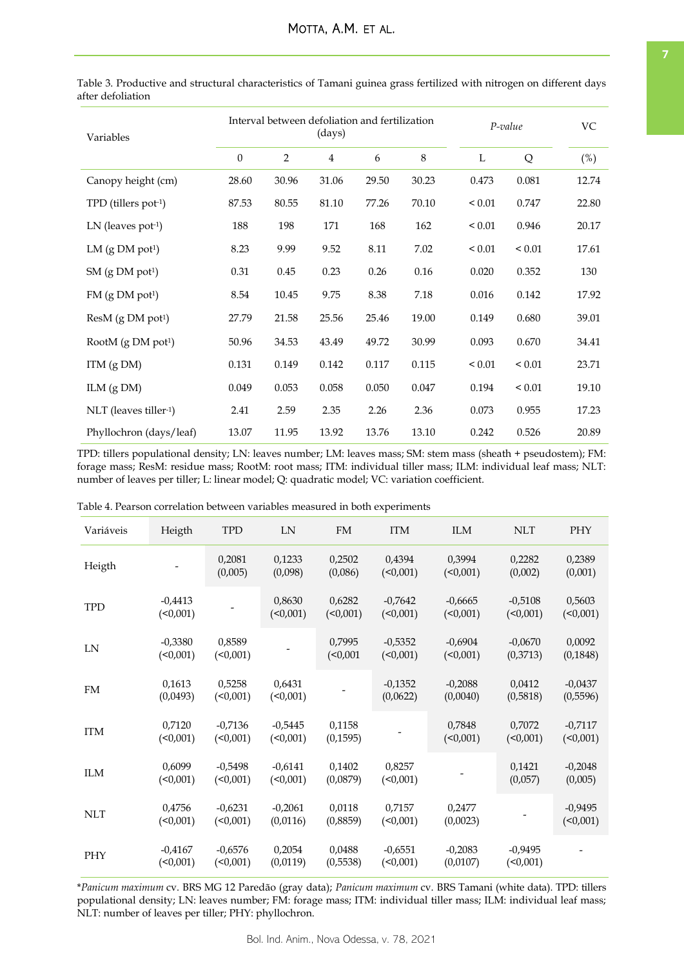| Variables                       |                  | Interval between defoliation and fertilization | (days)         |       | P-value |             |             |        |
|---------------------------------|------------------|------------------------------------------------|----------------|-------|---------|-------------|-------------|--------|
|                                 | $\boldsymbol{0}$ | $\overline{2}$                                 | $\overline{4}$ | 6     | $\,8\,$ | L           | Q           | $(\%)$ |
| Canopy height (cm)              | 28.60            | 30.96                                          | 31.06          | 29.50 | 30.23   | 0.473       | 0.081       | 12.74  |
| TPD (tillers pot-1)             | 87.53            | 80.55                                          | 81.10          | 77.26 | 70.10   | ${}_{0.01}$ | 0.747       | 22.80  |
| $LN$ (leaves pot-1)             | 188              | 198                                            | 171            | 168   | 162     | ${}_{0.01}$ | 0.946       | 20.17  |
| LM $(g DM$ pot <sup>1</sup> )   | 8.23             | 9.99                                           | 9.52           | 8.11  | 7.02    | ${}_{0.01}$ | ${}_{0.01}$ | 17.61  |
| $SM$ (g $DM$ pot <sup>1</sup> ) | 0.31             | 0.45                                           | 0.23           | 0.26  | 0.16    | 0.020       | 0.352       | 130    |
| $FM$ (g $DM$ pot <sup>1</sup> ) | 8.54             | 10.45                                          | 9.75           | 8.38  | 7.18    | 0.016       | 0.142       | 17.92  |
| ResM (g DM pot <sup>1</sup> )   | 27.79            | 21.58                                          | 25.56          | 25.46 | 19.00   | 0.149       | 0.680       | 39.01  |
| RootM (g DM pot <sup>1</sup> )  | 50.96            | 34.53                                          | 43.49          | 49.72 | 30.99   | 0.093       | 0.670       | 34.41  |
| ITM (g DM)                      | 0.131            | 0.149                                          | 0.142          | 0.117 | 0.115   | ${}_{0.01}$ | ${}_{0.01}$ | 23.71  |
| ILM $(g DM)$                    | 0.049            | 0.053                                          | 0.058          | 0.050 | 0.047   | 0.194       | ${}_{0.01}$ | 19.10  |
| NLT (leaves tiller-1)           | 2.41             | 2.59                                           | 2.35           | 2.26  | 2.36    | 0.073       | 0.955       | 17.23  |
| Phyllochron (days/leaf)         | 13.07            | 11.95                                          | 13.92          | 13.76 | 13.10   | 0.242       | 0.526       | 20.89  |

<span id="page-6-0"></span>Table 3. Productive and structural characteristics of Tamani guinea grass fertilized with nitrogen on different days after defoliation

TPD: tillers populational density; LN: leaves number; LM: leaves mass; SM: stem mass (sheath + pseudostem); FM: forage mass; ResM: residue mass; RootM: root mass; ITM: individual tiller mass; ILM: individual leaf mass; NLT: number of leaves per tiller; L: linear model; Q: quadratic model; VC: variation coefficient.

| Variáveis  | Heigth                   | <b>TPD</b>               | LN                       | FM                  | <b>ITM</b>            | <b>ILM</b>            | <b>NLT</b>               | PHY                   |
|------------|--------------------------|--------------------------|--------------------------|---------------------|-----------------------|-----------------------|--------------------------|-----------------------|
| Heigth     |                          | 0,2081<br>(0,005)        | 0,1233<br>(0,098)        | 0,2502<br>(0,086)   | 0,4394<br>$($ <0,001) | 0,3994<br>$($ <0,001) | 0,2282<br>(0,002)        | 0,2389<br>(0,001)     |
| <b>TPD</b> | $-0.4413$<br>$($ <0,001) |                          | 0,8630<br>(<0,001)       | 0,6282<br>(<0,001)  | $-0,7642$<br>(<0,001) | $-0,6665$<br>(<0,001) | $-0,5108$<br>(<0,001)    | 0,5603<br>(           |
| LN         | $-0,3380$<br>$($ <0,001) | 0,8589<br>$($ <0,001)    |                          | 0,7995<br>(<0,001   | $-0,5352$<br>(<0,001) | $-0.6904$<br>(<0,001) | $-0,0670$<br>(0,3713)    | 0,0092<br>(0, 1848)   |
| <b>FM</b>  | 0,1613<br>(0,0493)       | 0,5258<br>(0,001)        | 0,6431<br>(<0,001)       |                     | $-0,1352$<br>(0,0622) | $-0,2088$<br>(0,0040) | 0,0412<br>(0,5818)       | $-0,0437$<br>(0,5596) |
| <b>ITM</b> | 0,7120<br>$($ < 0,001)   | $-0,7136$<br>(<0,001)    | $-0,5445$<br>(<0,001)    | 0,1158<br>(0, 1595) |                       | 0,7848<br>$($ <0,001) | 0,7072<br>(<0,001)       | $-0,7117$<br>(        |
| <b>ILM</b> | 0.6099<br>$($ <0,001)    | $-0.5498$<br>$($ <0,001) | $-0,6141$<br>$($ <0,001) | 0,1402<br>(0,0879)  | 0,8257<br>$($ <0,001) |                       | 0,1421<br>(0,057)        | $-0,2048$<br>(0,005)  |
| <b>NLT</b> | 0,4756<br>$($ < 0,001)   | $-0,6231$<br>(<0,001)    | $-0,2061$<br>(0,0116)    | 0,0118<br>(0,8859)  | 0,7157<br>(<0,001)    | 0,2477<br>(0,0023)    |                          | $-0,9495$<br>(        |
| PHY        | $-0,4167$<br>$($ <0,001) | $-0,6576$<br>$($ <0,001) | 0,2054<br>(0,0119)       | 0,0488<br>(0,5538)  | $-0,6551$<br>(50,001) | $-0,2083$<br>(0,0107) | $-0,9495$<br>$($ <0,001) |                       |

Table 4. Pearson correlation between variables measured in both experiments

\**Panicum maximum* cv. BRS MG 12 Paredão (gray data); *Panicum maximum* cv. BRS Tamani (white data). TPD: tillers populational density; LN: leaves number; FM: forage mass; ITM: individual tiller mass; ILM: individual leaf mass; NLT: number of leaves per tiller; PHY: phyllochron.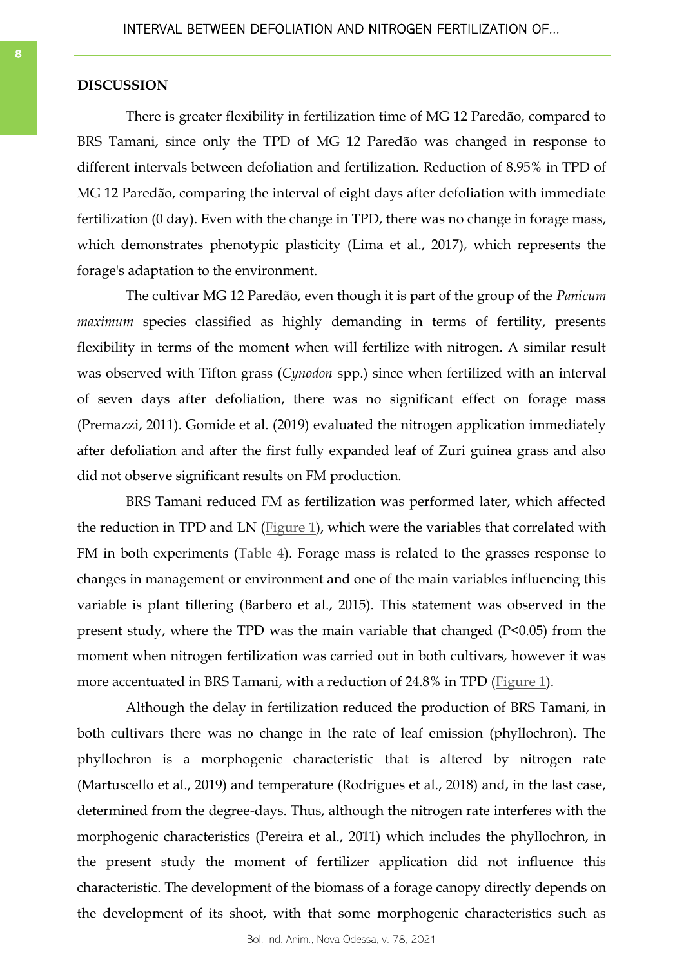# **DISCUSSION**

There is greater flexibility in fertilization time of MG 12 Paredão, compared to BRS Tamani, since only the TPD of MG 12 Paredão was changed in response to different intervals between defoliation and fertilization. Reduction of 8.95% in TPD of MG 12 Paredão, comparing the interval of eight days after defoliation with immediate fertilization (0 day). Even with the change in TPD, there was no change in forage mass, which demonstrates phenotypic plasticity (Lima et al., 2017), which represents the forage's adaptation to the environment.

The cultivar MG 12 Paredão, even though it is part of the group of the *Panicum maximum* species classified as highly demanding in terms of fertility, presents flexibility in terms of the moment when will fertilize with nitrogen. A similar result was observed with Tifton grass (*Cynodon* spp.) since when fertilized with an interval of seven days after defoliation, there was no significant effect on forage mass (Premazzi, 2011). Gomide et al. (2019) evaluated the nitrogen application immediately after defoliation and after the first fully expanded leaf of Zuri guinea grass and also did not observe significant results on FM production.

BRS Tamani reduced FM as fertilization was performed later, which affected the reduction in TPD and LN ([Figure 1\)](#page-8-0), which were the variables that correlated with FM in both experiments  $(Table 4)$  $(Table 4)$ . Forage mass is related to the grasses response to changes in management or environment and one of the main variables influencing this variable is plant tillering (Barbero et al., 2015). This statement was observed in the present study, where the TPD was the main variable that changed (P<0.05) from the moment when nitrogen fertilization was carried out in both cultivars, however it was more accentuated in BRS Tamani, with a reduction of 24.8% in TPD ([Figure 1\)](#page-8-0).

Although the delay in fertilization reduced the production of BRS Tamani, in both cultivars there was no change in the rate of leaf emission (phyllochron). The phyllochron is a morphogenic characteristic that is altered by nitrogen rate (Martuscello et al., 2019) and temperature (Rodrigues et al., 2018) and, in the last case, determined from the degree-days. Thus, although the nitrogen rate interferes with the morphogenic characteristics (Pereira et al., 2011) which includes the phyllochron, in the present study the moment of fertilizer application did not influence this characteristic. The development of the biomass of a forage canopy directly depends on the development of its shoot, with that some morphogenic characteristics such as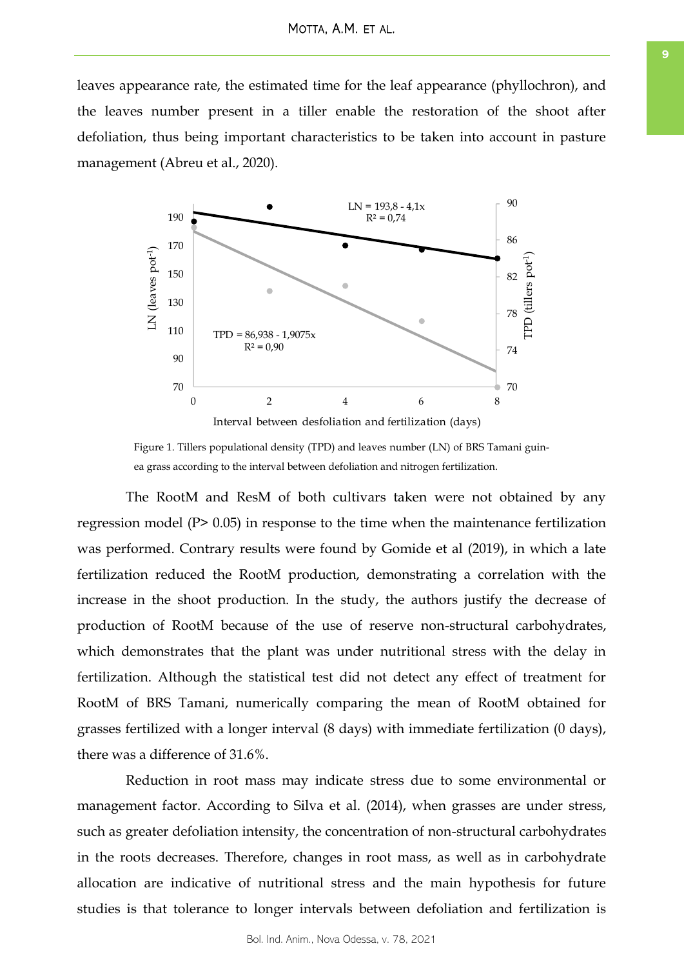<span id="page-8-0"></span>leaves appearance rate, the estimated time for the leaf appearance (phyllochron), and the leaves number present in a tiller enable the restoration of the shoot after defoliation, thus being important characteristics to be taken into account in pasture management (Abreu et al., 2020).



Figure 1. Tillers populational density (TPD) and leaves number (LN) of BRS Tamani guinea grass according to the interval between defoliation and nitrogen fertilization.

The RootM and ResM of both cultivars taken were not obtained by any regression model (P> 0.05) in response to the time when the maintenance fertilization was performed. Contrary results were found by Gomide et al (2019), in which a late fertilization reduced the RootM production, demonstrating a correlation with the increase in the shoot production. In the study, the authors justify the decrease of production of RootM because of the use of reserve non-structural carbohydrates, which demonstrates that the plant was under nutritional stress with the delay in fertilization. Although the statistical test did not detect any effect of treatment for RootM of BRS Tamani, numerically comparing the mean of RootM obtained for grasses fertilized with a longer interval (8 days) with immediate fertilization (0 days), there was a difference of 31.6%.

Reduction in root mass may indicate stress due to some environmental or management factor. According to Silva et al. (2014), when grasses are under stress, such as greater defoliation intensity, the concentration of non-structural carbohydrates in the roots decreases. Therefore, changes in root mass, as well as in carbohydrate allocation are indicative of nutritional stress and the main hypothesis for future studies is that tolerance to longer intervals between defoliation and fertilization is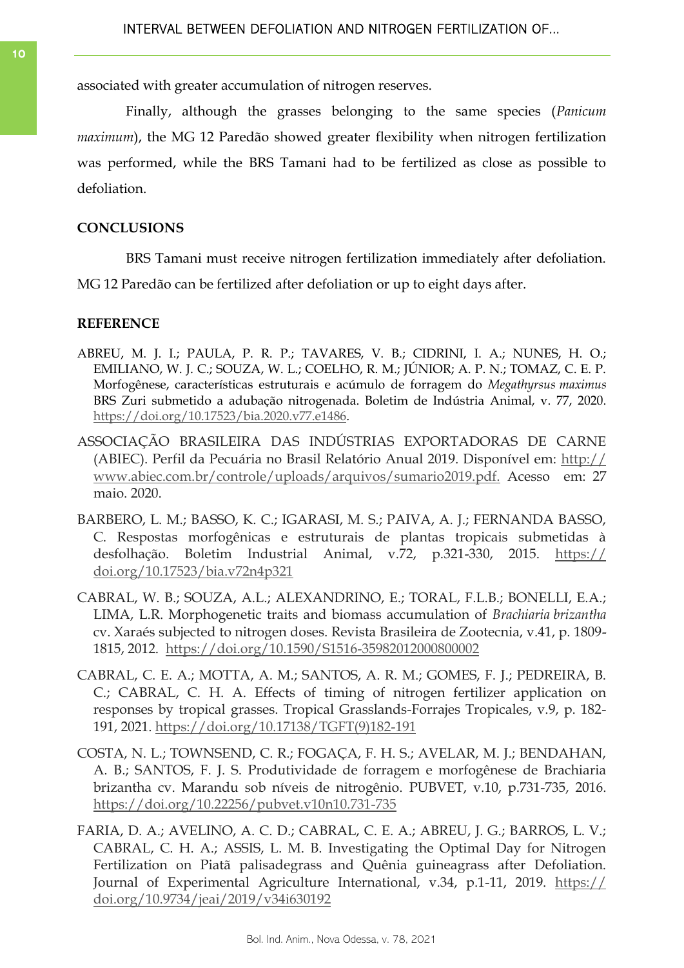associated with greater accumulation of nitrogen reserves.

Finally, although the grasses belonging to the same species (*Panicum maximum*), the MG 12 Paredão showed greater flexibility when nitrogen fertilization was performed, while the BRS Tamani had to be fertilized as close as possible to defoliation.

# **CONCLUSIONS**

BRS Tamani must receive nitrogen fertilization immediately after defoliation.

MG 12 Paredão can be fertilized after defoliation or up to eight days after.

# **REFERENCE**

- ABREU, M. J. I.; PAULA, P. R. P.; TAVARES, V. B.; CIDRINI, I. A.; NUNES, H. O.; EMILIANO, W. J. C.; SOUZA, W. L.; COELHO, R. M.; JÚNIOR; A. P. N.; TOMAZ, C. E. P. Morfogênese, características estruturais e acúmulo de forragem do *Megathyrsus maximus* BRS Zuri submetido a adubação nitrogenada. Boletim de Indústria Animal, v. 77, 2020. [https://doi.org/10.17523/bia.2020.v77.e1486.](https://doi.org/10.17523/bia.2020.v77.e1486)
- ASSOCIAÇÃO BRASILEIRA DAS INDÚSTRIAS EXPORTADORAS DE CARNE (ABIEC). Perfil da Pecuária no Brasil Relatório Anual 2019. Disponível em: [http://](http://www.abiec.com.br/controle/uploads/arquivos/sumario2019.pdf.) [www.abiec.com.br/controle/uploads/arquivos/sumario2019.pdf.](http://www.abiec.com.br/controle/uploads/arquivos/sumario2019.pdf.) Acesso em: 27 maio. 2020.
- BARBERO, L. M.; BASSO, K. C.; IGARASI, M. S.; PAIVA, A. J.; FERNANDA BASSO, C. Respostas morfogênicas e estruturais de plantas tropicais submetidas à desfolhação. Boletim Industrial Animal, v.72, p.321-330, 2015. [https://](https://doi.org/10.17523/bia.v72n4p321) [doi.org/10.17523/bia.v72n4p321](https://doi.org/10.17523/bia.v72n4p321)
- CABRAL, W. B.; SOUZA, A.L.; ALEXANDRINO, E.; TORAL, F.L.B.; BONELLI, E.A.; LIMA, L.R. Morphogenetic traits and biomass accumulation of *Brachiaria brizantha* cv. Xaraés subjected to nitrogen doses. Revista Brasileira de Zootecnia, v.41, p. 1809- 1815, 2012. <https://doi.org/10.1590/S1516-35982012000800002>
- CABRAL, C. E. A.; MOTTA, A. M.; SANTOS, A. R. M.; GOMES, F. J.; PEDREIRA, B. C.; CABRAL, C. H. A. Effects of timing of nitrogen fertilizer application on responses by tropical grasses. Tropical Grasslands-Forrajes Tropicales, v.9, p. 182- 191, 2021. [https://doi.org/10.17138/TGFT\(9\)182-191](https://doi.org/10.17138/TGFT(9)182-191)
- COSTA, N. L.; TOWNSEND, C. R.; FOGAÇA, F. H. S.; AVELAR, M. J.; BENDAHAN, A. B.; SANTOS, F. J. S. Produtividade de forragem e morfogênese de Brachiaria brizantha cv. Marandu sob níveis de nitrogênio. PUBVET, v.10, p.731-735, 2016. <https://doi.org/10.22256/pubvet.v10n10.731-735>
- FARIA, D. A.; AVELINO, A. C. D.; CABRAL, C. E. A.; ABREU, J. G.; BARROS, L. V.; CABRAL, C. H. A.; ASSIS, L. M. B. Investigating the Optimal Day for Nitrogen Fertilization on Piatã palisadegrass and Quênia guineagrass after Defoliation. Journal of Experimental Agriculture International, v.34, p.1-11, 2019. [https://](https://doi.org/10.9734/jeai/2019/v34i630192) [doi.org/10.9734/jeai/2019/v34i630192](https://doi.org/10.9734/jeai/2019/v34i630192)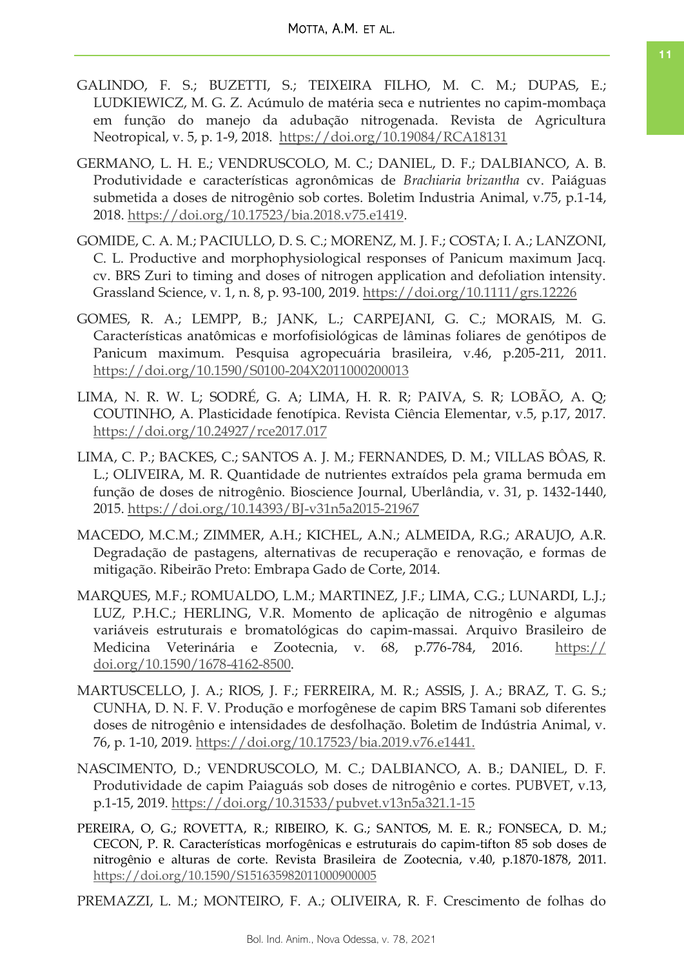- GALINDO, F. S.; BUZETTI, S.; TEIXEIRA FILHO, M. C. M.; DUPAS, E.; LUDKIEWICZ, M. G. Z. Acúmulo de matéria seca e nutrientes no capim-mombaça em função do manejo da adubação nitrogenada. Revista de Agricultura Neotropical, v. 5, p. 1-9, 2018. <https://doi.org/10.19084/RCA18131>
- GERMANO, L. H. E.; VENDRUSCOLO, M. C.; DANIEL, D. F.; DALBIANCO, A. B. Produtividade e características agronômicas de *Brachiaria brizantha* cv. Paiáguas submetida a doses de nitrogênio sob cortes. Boletim Industria Animal, v.75, p.1-14, 2018. [https://doi.org/10.17523/bia.2018.v75.e1419.](https://doi.org/10.17523/bia.2018.v75.e1419)
- GOMIDE, C. A. M.; PACIULLO, D. S. C.; MORENZ, M. J. F.; COSTA; I. A.; LANZONI, C. L. Productive and morphophysiological responses of Panicum maximum Jacq. cv. BRS Zuri to timing and doses of nitrogen application and defoliation intensity. Grassland Science, v. 1, n. 8, p. 93-100, 2019.<https://doi.org/10.1111/grs.12226>
- GOMES, R. A.; LEMPP, B.; JANK, L.; CARPEJANI, G. C.; MORAIS, M. G. Características anatômicas e morfofisiológicas de lâminas foliares de genótipos de Panicum maximum. Pesquisa agropecuária brasileira, v.46, p.205-211, 2011. <https://doi.org/10.1590/S0100-204X2011000200013>
- LIMA, N. R. W. L; SODRÉ, G. A; LIMA, H. R. R; PAIVA, S. R; LOBÃO, A. Q; COUTINHO, A. Plasticidade fenotípica. Revista Ciência Elementar, v.5, p.17, 2017. <https://doi.org/10.24927/rce2017.017>
- LIMA, C. P.; BACKES, C.; SANTOS A. J. M.; FERNANDES, D. M.; VILLAS BÔAS, R. L.; OLIVEIRA, M. R. Quantidade de nutrientes extraídos pela grama bermuda em função de doses de nitrogênio. Bioscience Journal, Uberlândia, v. 31, p. 1432-1440, 2015.<https://doi.org/10.14393/BJ-v31n5a2015-21967>
- MACEDO, M.C.M.; ZIMMER, A.H.; KICHEL, A.N.; ALMEIDA, R.G.; ARAUJO, A.R. Degradação de pastagens, alternativas de recuperação e renovação, e formas de mitigação. Ribeirão Preto: Embrapa Gado de Corte, 2014.
- MARQUES, M.F.; ROMUALDO, L.M.; MARTINEZ, J.F.; LIMA, C.G.; LUNARDI, L.J.; LUZ, P.H.C.; HERLING, V.R. Momento de aplicação de nitrogênio e algumas variáveis estruturais e bromatológicas do capim-massai. Arquivo Brasileiro de Medicina Veterinária e Zootecnia, v. 68, p.776-784, 2016. [https://](https://doi.org/10.1590/1678-4162-8500) [doi.org/10.1590/1678-4162-8500.](https://doi.org/10.1590/1678-4162-8500)
- MARTUSCELLO, J. A.; RIOS, J. F.; FERREIRA, M. R.; ASSIS, J. A.; BRAZ, T. G. S.; CUNHA, D. N. F. V. Produção e morfogênese de capim BRS Tamani sob diferentes doses de nitrogênio e intensidades de desfolhação. Boletim de Indústria Animal, v. 76, p. 1-10, 2019. [https://doi.org/10.17523/bia.2019.v76.e1441.](https://doi.org/10.17523/bia.2019.v76.e1441)
- NASCIMENTO, D.; VENDRUSCOLO, M. C.; DALBIANCO, A. B.; DANIEL, D. F. Produtividade de capim Paiaguás sob doses de nitrogênio e cortes. PUBVET, v.13, p.1-15, 2019.<https://doi.org/10.31533/pubvet.v13n5a321.1-15>
- PEREIRA, O, G.; ROVETTA, R.; RIBEIRO, K. G.; SANTOS, M. E. R.; FONSECA, D. M.; CECON, P. R. Características morfogênicas e estruturais do capim-tifton 85 sob doses de nitrogênio e alturas de corte. Revista Brasileira de Zootecnia, v.40, p.1870-1878, 2011. <https://doi.org/10.1590/S151635982011000900005>

PREMAZZI, L. M.; MONTEIRO, F. A.; OLIVEIRA, R. F. Crescimento de folhas do